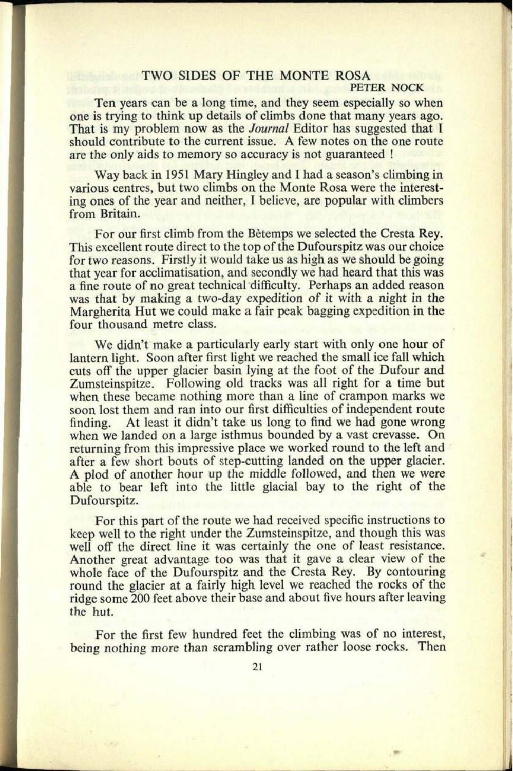## **TWO SIDES OF THE MONTE ROSA**

**25. 0667**

## **PETER NOCK**

Ten years can be a long time, and they seem especially so when one is trying to think up details of climbs done that many years ago. That is my problem now as the *Journal* Editor has suggested that I should contribute to the current issue. A few notes on the one route are the only aids to memory so accuracy is not guaranteed !

Way back in 1951 Mary Hingley and I had a season's climbing in various centres, but two climbs on the Monte Rosa were the interesting ones of the year and neither, I believe, are popular with climbers from Britain.

For our first climb from the Betemps we selected the Cresta Rey. This excellent route direct to the top of the Dufourspitz was our choice for two reasons. Firstly it would take us as high as we should be going that year for acclimatisation, and secondly we had heard that this was <sup>a</sup>fine route of no great technical difficulty. Perhaps an added reason was that by making a two-day expedition of it with a night in the Margherita Hut we could make a fair peak bagging expedition in the four thousand metre class.

We didn't make a particularly early start with only one hour of lantern light. Soon after first light we reached the small ice fall which cuts off the upper glacier basin lying at the foot of the Dufour and Zumsteinspitze. Following old tracks was all right for a time but when these became nothing more than a line of crampon marks we soon lost them and ran into our first difficulties of independent route finding. At least it didn't take us long to find we had gone wrong when we landed on a large isthmus bounded by a vast crevasse. On returning from this impressive place we worked round to the left and after a few short bouts of step-cutting landed on the upper glacier. A plod of another hour up the middle followed, and then we were able to bear left into the little glacial bay to the right of the Dufourspitz.

For this part of the route we had received specific instructions to keep well to the right under the Zumsteinspitze, and though this was well off the direct line it was certainly the one of least resistance. Another great advantage too was that it gave a clear view of the whole face of the Dufourspitz and the Cresta Rey. By contouring round the glacier at a fairly high level we reached the rocks of the ridge some 200 feet above their base and about five hours after leaving the hut.

For the first few hundred feet the climbing was of no interest, being nothing more than scrambling over rather loose rocks. Then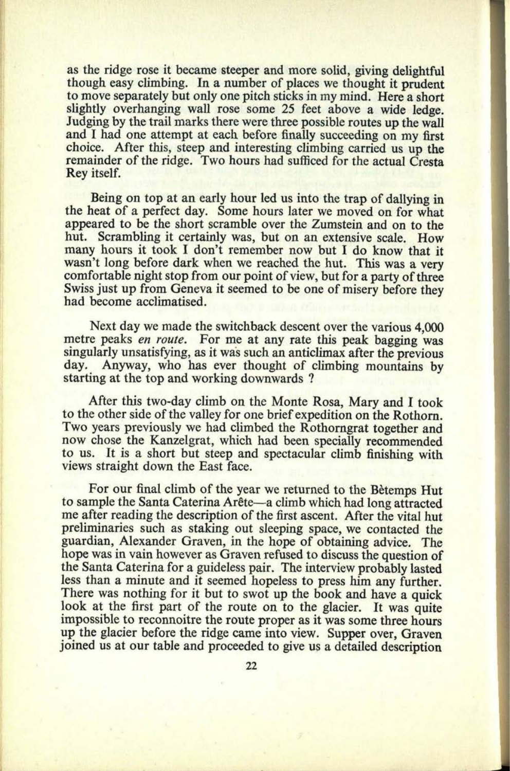as the ridge rose it became steeper and more solid, giving delightful though easy climbing. In a number of places we thought it prudent to move separately but only one pitch sticks in my mind. Here a short slightly overhanging wall rose some 25 feet above a wide ledge. Judging by the trail marks there were three possible routes up the wall and I had one attempt at each before finally succeeding on my first choice. After this, steep and interesting climbing carried us up the remainder of the ridge. Two hours had sufficed for the actual Cresta Rey itself.

Being on top at an early hour led us into the trap of dallying in the heat of a perfect day. Some hours later we moved on for what appeared to be the short scramble over the Zumstein and on to the hut. Scrambling it certainly was, but on an extensive scale. How many hours it took I don't remember now but I do know that it wasn't long before dark when we reached the hut. This was a very comfortable night stop from our point of view, but for a party of three Swiss just up from Geneva it seemed to be one of misery before they had become acclimatised.

Next day we made the switchback descent over the various 4,000 metre peaks *en route.* For me at any rate this peak bagging was singularly unsatisfying, as it was such an anticlimax after the previous day. Anyway, who has ever thought of climbing mountains by starting at the top and working downwards ?

After this two-day climb on the Monte Rosa, Mary and I took to the other side of the valley for one brief expedition on the Rothorn. Two years previously we had climbed the Rothorngrat together and now chose the Kanzelgrat, which had been specially recommended to us. It is a short but steep and spectacular climb finishing with views straight down the East face.

For our final climb of the year we returned to the Betemps Hut to sample the Santa Caterina Arele a climb which had long attracted me after reading the description of the first ascent. After the vital hut preliminaries such as staking out sleeping space, we contacted the guardian, Alexander Graven, in the hope of obtaining advice. The hope was in vain however as Graven refused to discuss the question of the Santa Caterina for a guideless pair. The interview probably lasted less than a minute and it seemed hopeless to press him any further. There was nothing for it but to swot up the book and have a quick look at the first part of the route on to the glacier. It was quite impossible to reconnoitre the route proper as it was some three hours up the glacier before the ridge came into view. Supper over, Graven joined us at our table and proceeded to give us a detailed description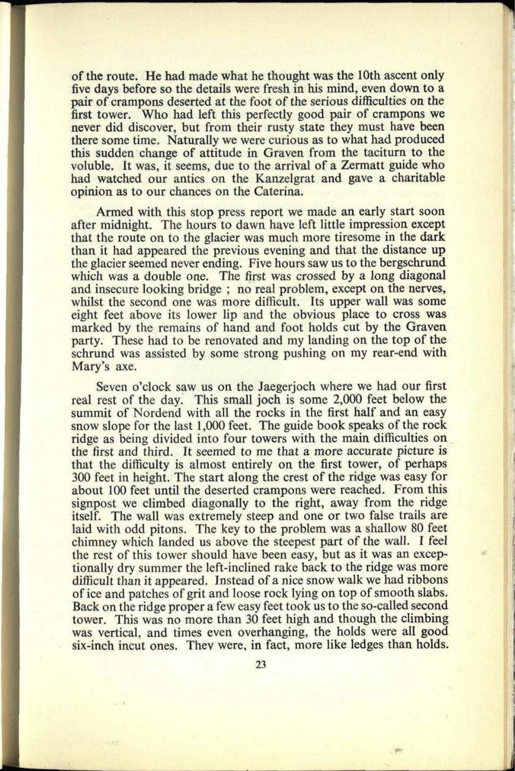of the route. He had made what he thought was the 10th ascent only five days before so the details were fresh in his mind, even down to <sup>a</sup> pair of crampons deserted at the foot of the serious difficulties on the first tower. Who had left this perfectly good pair of crampons we never did discover, but from their rusty state they must have been there some time. Naturally we were curious as to what had produced this sudden change of attitude in Graven from the taciturn to the voluble. It was, it seems, due to the arrival of a Zermatt guide who had watched our antics on the Kanzelgrat and gave a charitable opinion as to our chances on the Caterina.

**27. 0669**

Armed with this stop press report we made an early start soon after midnight. The hours to dawn have left little impression excep<sup>t</sup> that the route on to the glacier was much more tiresome in the dark than it had appeared the previous evening and that the distance up the glacier seemed never ending. Five hours saw us to the bergschrund which was a double one. The first was crossed by a long diagonal and insecure looking bridge ; no real problem, except on the nerves, whilst the second one was more difficult. Its upper wall was some eight feet above its lower lip and the obvious place to cross was marked by the remains of hand and foot holds cut by the Graven party. These had to be renovated and my landing on the top of the schrund was assisted by some strong pushing on my rear-end with Mary's axe.

Seven o'clock saw us on the Jaegerjoch where we had our first real rest of the day. This small joch is some 2,000 feet below the summit of Nordend with all the rocks in the first half and an easy snow slope for the last 1,000 feet. The guide book speaks of the rock ridge as being divided into four towers with the main difficulties on the first and third. It seemed to me that a more accurate picture is that the difficulty is almost entirely on the first tower, of perhaps 300 feet in height. The start along the crest of the ridge was easy for about 100 feet until the deserted crampons were reached. From this signpost we climbed diagonally to the right, away from the ridge itself. The wall was extremely steep and one or two false trails are laid with odd pitons. The key to the problem was a shallow 80 feet chimney which landed us above the steepest part of the wall. I feel the rest of this tower should have been easy, but as it was an exceptionally dry summer the left-inclined rake back to the ridge was more difficult than it appeared. Instead of a nice snow walk we had ribbons of ice and patches of grit and loose rock lying on top of smooth slabs. Back on the ridge proper <sup>a</sup>few easy feet took us to the so-called second tower. This was no more than 30 feet high and though the climbing was vertical, and times even overhanging, the holds were all good six-inch incut ones. They were, in fact, more like ledges than holds.